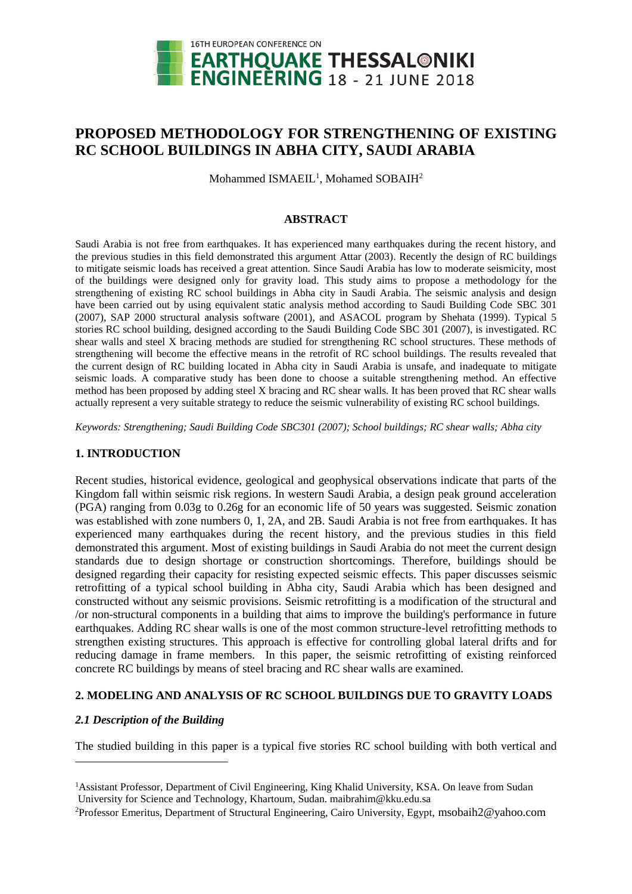

# **PROPOSED METHODOLOGY FOR STRENGTHENING OF EXISTING RC SCHOOL BUILDINGS IN ABHA CITY, SAUDI ARABIA**

Mohammed ISMAEIL<sup>1</sup>, Mohamed SOBAIH<sup>2</sup>

### **ABSTRACT**

Saudi Arabia is not free from earthquakes. It has experienced many earthquakes during the recent history, and the previous studies in this field demonstrated this argument Attar (2003). Recently the design of RC buildings to mitigate seismic loads has received a great attention. Since Saudi Arabia has low to moderate seismicity, most of the buildings were designed only for gravity load. This study aims to propose a methodology for the strengthening of existing RC school buildings in Abha city in Saudi Arabia. The seismic analysis and design have been carried out by using equivalent static analysis method according to Saudi Building Code SBC 301 (2007), SAP 2000 structural analysis software (2001), and ASACOL program by Shehata (1999). Typical 5 stories RC school building, designed according to the Saudi Building Code SBC 301 (2007), is investigated. RC shear walls and steel X bracing methods are studied for strengthening RC school structures. These methods of strengthening will become the effective means in the retrofit of RC school buildings. The results revealed that the current design of RC building located in Abha city in Saudi Arabia is unsafe, and inadequate to mitigate seismic loads. A comparative study has been done to choose a suitable strengthening method. An effective method has been proposed by adding steel X bracing and RC shear walls. It has been proved that RC shear walls actually represent a very suitable strategy to reduce the seismic vulnerability of existing RC school buildings.

*Keywords: Strengthening; Saudi Building Code SBC301 (2007); School buildings; RC shear walls; Abha city*

### **1. INTRODUCTION**

Recent studies, historical evidence, geological and geophysical observations indicate that parts of the Kingdom fall within seismic risk regions. In western Saudi Arabia, a design peak ground acceleration (PGA) ranging from 0.03g to 0.26g for an economic life of 50 years was suggested. Seismic zonation was established with zone numbers 0, 1, 2A, and 2B. Saudi Arabia is not free from earthquakes. It has experienced many earthquakes during the recent history, and the previous studies in this field demonstrated this argument. Most of existing buildings in Saudi Arabia do not meet the current design standards due to design shortage or construction shortcomings. Therefore, buildings should be designed regarding their capacity for resisting expected seismic effects. This paper discusses seismic retrofitting of a typical school building in Abha city, Saudi Arabia which has been designed and constructed without any seismic provisions. Seismic retrofitting is a modification of the structural and /or non-structural components in a building that aims to improve the building's performance in future earthquakes. Adding RC shear walls is one of the most common structure-level retrofitting methods to strengthen existing structures. This approach is effective for controlling global lateral drifts and for reducing damage in frame members. In this paper, the seismic retrofitting of existing reinforced concrete RC buildings by means of steel bracing and RC shear walls are examined.

### **2. MODELING AND ANALYSIS OF RC SCHOOL BUILDINGS DUE TO GRAVITY LOADS**

## *2.1 Description of the Building*

 $\overline{a}$ 

The studied building in this paper is a typical five stories RC school building with both vertical and

<sup>1</sup>Assistant Professor, Department of Civil Engineering, King Khalid University, KSA. On leave from Sudan University for Science and Technology, Khartoum, Sudan. maibrahim@kku.edu.sa

<sup>2</sup>Professor Emeritus, Department of Structural Engineering, Cairo University, Egypt, msobaih2@yahoo.com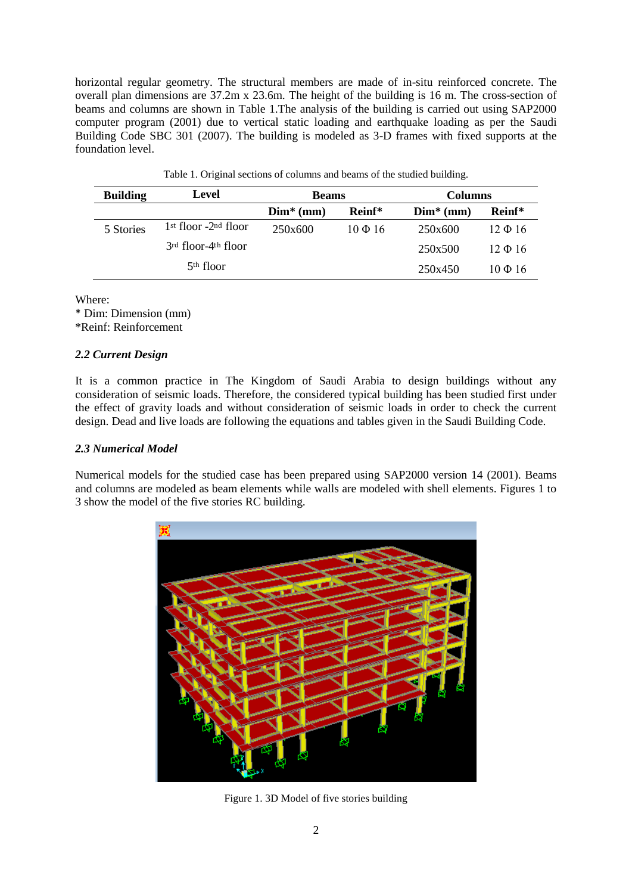horizontal regular geometry. The structural members are made of in-situ reinforced concrete. The overall plan dimensions are 37.2m x 23.6m. The height of the building is 16 m. The cross-section of beams and columns are shown in Table 1.The analysis of the building is carried out using SAP2000 computer program (2001) due to vertical static loading and earthquake loading as per the Saudi Building Code SBC 301 (2007). The building is modeled as 3-D frames with fixed supports at the foundation level.

| <b>Building</b> | Level                                       | <b>Beams</b> |              | <b>Columns</b> |              |
|-----------------|---------------------------------------------|--------------|--------------|----------------|--------------|
|                 |                                             | $Dim*$ (mm)  | Reinf*       | $Dim* (mm)$    | Reinf*       |
| 5 Stories       | $1st$ floor $-2nd$ floor                    | 250x600      | $10 \Phi 16$ | 250x600        | $12 \Phi 16$ |
|                 | 3 <sup>rd</sup> floor-4 <sup>th</sup> floor |              |              | 250x500        | $12 \Phi 16$ |
|                 | $5th$ floor                                 |              |              | 250x450        | $10 \Phi 16$ |

Table 1. Original sections of columns and beams of the studied building.

Where:

\* Dim: Dimension (mm)

\*Reinf: Reinforcement

### *2.2 Current Design*

It is a common practice in The Kingdom of Saudi Arabia to design buildings without any consideration of seismic loads. Therefore, the considered typical building has been studied first under the effect of gravity loads and without consideration of seismic loads in order to check the current design. Dead and live loads are following the equations and tables given in the Saudi Building Code.

### *2.3 Numerical Model*

Numerical models for the studied case has been prepared using SAP2000 version 14 (2001). Beams and columns are modeled as beam elements while walls are modeled with shell elements. Figures 1 to 3 show the model of the five stories RC building.



Figure 1. 3D Model of five stories building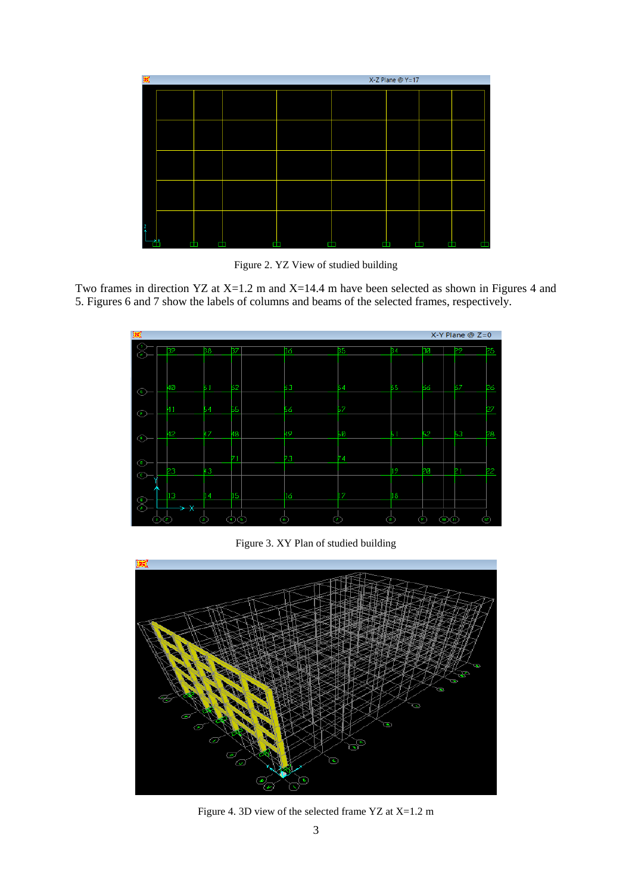| 図 |  |  | X-Z Plane @ Y=17 |  |
|---|--|--|------------------|--|
|   |  |  |                  |  |
|   |  |  |                  |  |
|   |  |  |                  |  |
|   |  |  |                  |  |
|   |  |  |                  |  |

Figure 2. YZ View of studied building

Two frames in direction YZ at X=1.2 m and X=14.4 m have been selected as shown in Figures 4 and 5. Figures 6 and 7 show the labels of columns and beams of the selected frames, respectively.



Figure 3. XY Plan of studied building



Figure 4. 3D view of the selected frame YZ at X=1.2 m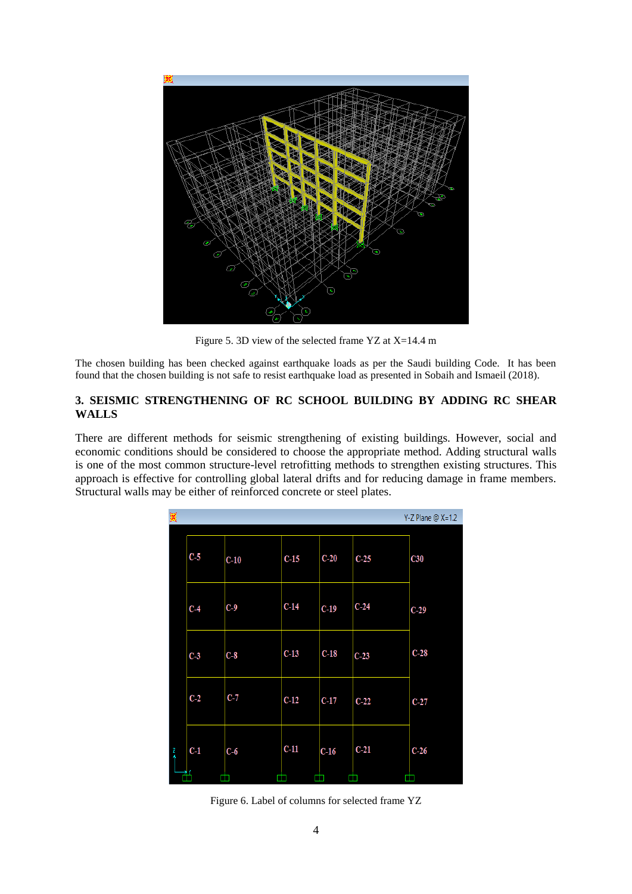

Figure 5. 3D view of the selected frame YZ at X=14.4 m

The chosen building has been checked against earthquake loads as per the Saudi building Code. It has been found that the chosen building is not safe to resist earthquake load as presented in Sobaih and Ismaeil (2018).

### **3. SEISMIC STRENGTHENING OF RC SCHOOL BUILDING BY ADDING RC SHEAR WALLS**

There are different methods for seismic strengthening of existing buildings. However, social and economic conditions should be considered to choose the appropriate method. Adding structural walls is one of the most common structure-level retrofitting methods to strengthen existing structures. This approach is effective for controlling global lateral drifts and for reducing damage in frame members. Structural walls may be either of reinforced concrete or steel plates.

| K             |       |        |        |        |        | $Y-Z$ Plane @ $X=1.2$ |
|---------------|-------|--------|--------|--------|--------|-----------------------|
|               | $C-5$ | $C-10$ | $C-15$ | $C-20$ | $C-25$ | C30                   |
|               | $C-4$ | $C-9$  | $C-14$ | $C-19$ | $C-24$ | $C-29$                |
|               | $C-3$ | $C-8$  | $C-13$ | $C-18$ | $C-23$ | $C-28$                |
|               | $C-2$ | $C-7$  | $C-12$ | $C-17$ | $C-22$ | $C-27$                |
| $\frac{7}{4}$ | $C-1$ | $C-6$  | $C-11$ | $C-16$ | $C-21$ | $C-26$                |
|               | ᅨ     |        |        |        |        |                       |

Figure 6. Label of columns for selected frame YZ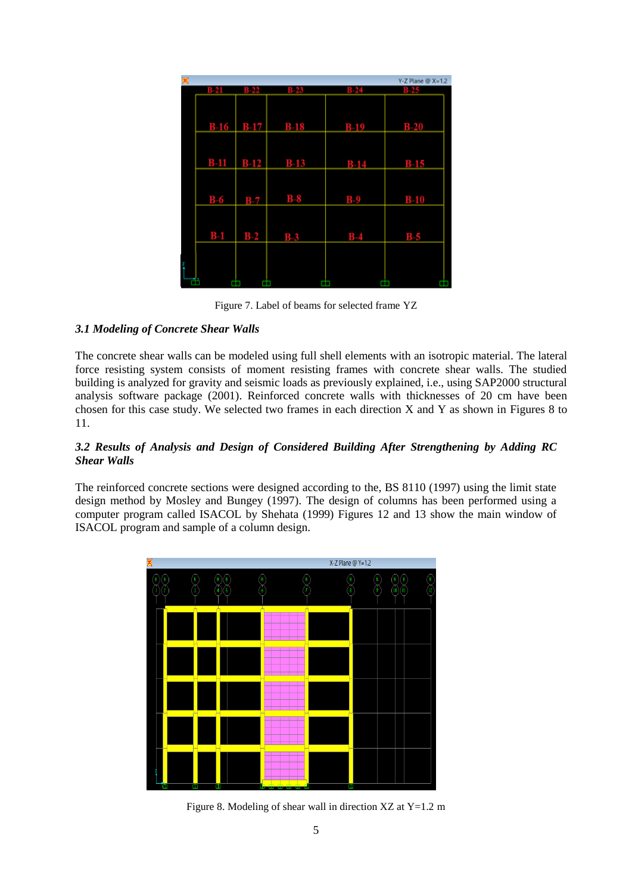|        |        |                      |        | $Y-Z$ Plane $@X=1.2$ |
|--------|--------|----------------------|--------|----------------------|
| в.     | B-22   | B-23                 | N.     |                      |
|        |        |                      |        |                      |
|        |        |                      |        |                      |
|        |        | $B-16$ $B-17$ $B-18$ | $B-19$ | $B-20$               |
|        |        |                      |        |                      |
|        |        |                      |        |                      |
|        |        |                      |        |                      |
| $B-11$ | $B-12$ | $B-13$               | $B-14$ | $B-15$               |
|        |        |                      |        |                      |
|        |        |                      |        |                      |
| $B-6$  | $B-7$  | $B-8$                | $B-9$  | $B-10$               |
|        |        |                      |        |                      |
|        |        |                      |        |                      |
| $B-1$  | $B-2$  | $B-3$                | $B-4$  | $B-5$                |
|        |        |                      |        |                      |
|        |        |                      |        |                      |
|        |        |                      |        |                      |
|        |        |                      |        |                      |
|        |        |                      |        |                      |

Figure 7. Label of beams for selected frame YZ

### *3.1 Modeling of Concrete Shear Walls*

The concrete shear walls can be modeled using full shell elements with an isotropic material. The lateral force resisting system consists of moment resisting frames with concrete shear walls. The studied building is analyzed for gravity and seismic loads as previously explained, i.e., using SAP2000 structural analysis software package (2001). Reinforced concrete walls with thicknesses of 20 cm have been chosen for this case study. We selected two frames in each direction X and Y as shown in Figures 8 to 11.

### *3.2 Results of Analysis and Design of Considered Building After Strengthening by Adding RC Shear Walls*

The reinforced concrete sections were designed according to the, BS 8110 (1997) using the limit state design method by Mosley and Bungey (1997). The design of columns has been performed using a computer program called ISACOL by Shehata (1999) Figures 12 and 13 show the main window of ISACOL program and sample of a column design.



Figure 8. Modeling of shear wall in direction  $XZ$  at  $Y=1.2$  m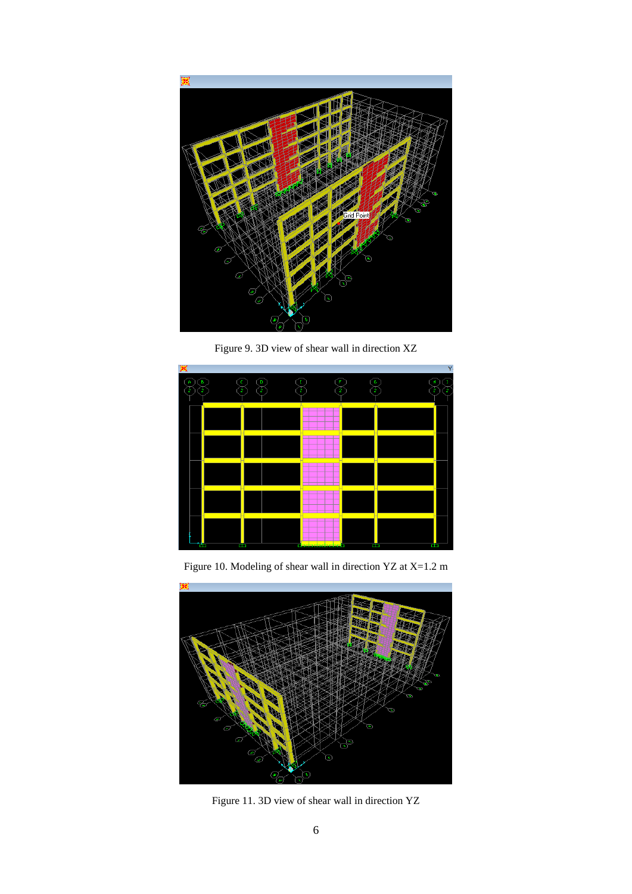

Figure 9. 3D view of shear wall in direction XZ



Figure 10. Modeling of shear wall in direction YZ at X=1.2 m



Figure 11. 3D view of shear wall in direction YZ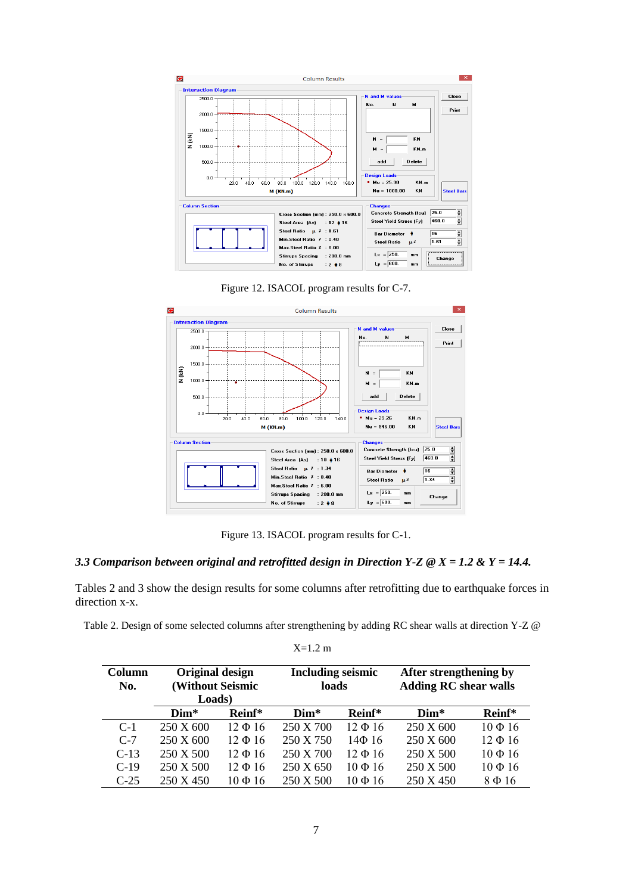





Figure 13. ISACOL program results for C-1.

### *3.3 Comparison between original and retrofitted design in Direction Y-Z @ X = 1.2 & Y = 14.4.*

Tables 2 and 3 show the design results for some columns after retrofitting due to earthquake forces in direction x-x.

| Table 2. Design of some selected columns after strengthening by adding RC shear walls at direction Y-Z @ |  |  |
|----------------------------------------------------------------------------------------------------------|--|--|
|                                                                                                          |  |  |

X=1.2 m

| Column<br>No. | <b>Original design</b><br><b>(Without Seismic</b><br>Loads) |              | <b>Including seismic</b><br>loads |              | After strengthening by<br><b>Adding RC shear walls</b> |              |
|---------------|-------------------------------------------------------------|--------------|-----------------------------------|--------------|--------------------------------------------------------|--------------|
|               | $Dim*$                                                      | Reinf*       | $Dim*$                            | Reinf*       | $Dim*$                                                 | Reinf*       |
| $C-1$         | 250 X 600                                                   | $12 \Phi 16$ | 250 X 700                         | $12 \Phi 16$ | 250 X 600                                              | $10 \Phi 16$ |
| $C-7$         | 250 X 600                                                   | $12 \Phi 16$ | 250 X 750                         | $14\Phi$ 16  | 250 X 600                                              | $12 \Phi 16$ |
| $C-13$        | 250 X 500                                                   | $12 \Phi 16$ | 250 X 700                         | $12 \Phi 16$ | 250 X 500                                              | $10 \Phi 16$ |
| $C-19$        | 250 X 500                                                   | $12 \Phi 16$ | 250 X 650                         | $10 \Phi 16$ | 250 X 500                                              | $10 \Phi 16$ |
| $C-25$        | 250 X 450                                                   | 10Ф16        | 250 X 500                         | $10 \Phi 16$ | 250 X 450                                              | 8Ф16         |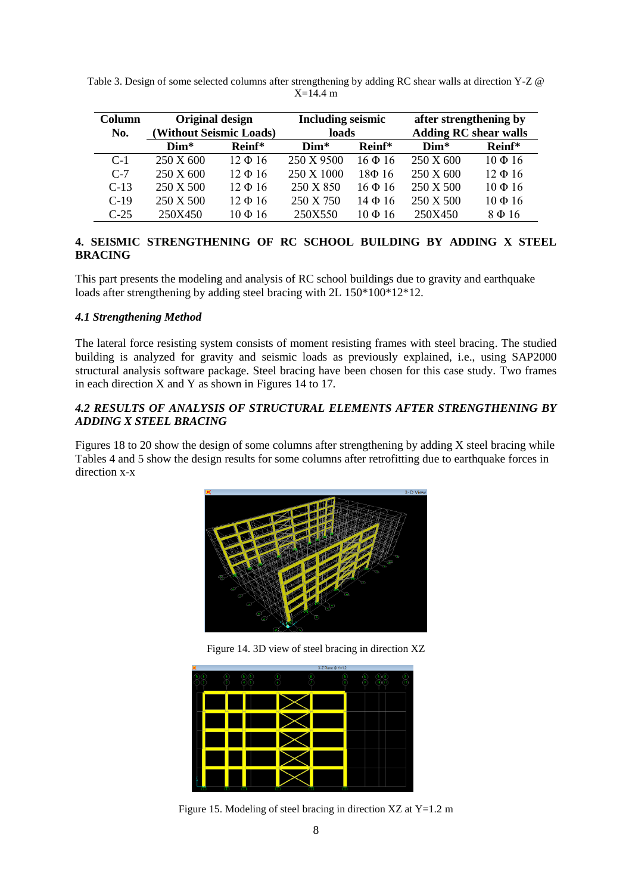| Column | Original design         |              | <b>Including seismic</b> |              | after strengthening by       |              |
|--------|-------------------------|--------------|--------------------------|--------------|------------------------------|--------------|
| No.    | (Without Seismic Loads) |              | loads                    |              | <b>Adding RC shear walls</b> |              |
|        | $Dim*$                  | Reinf*       | $Dim*$                   | Reinf*       | $Dim*$                       | Reinf*       |
| $C-1$  | 250 X 600               | $12 \Phi 16$ | 250 X 9500               | $16 \Phi 16$ | 250 X 600                    | $10 \Phi 16$ |
| $C-7$  | 250 X 600               | $12 \Phi 16$ | 250 X 1000               | $18\Phi$ 16  | 250 X 600                    | $12 \Phi 16$ |
| $C-13$ | 250 X 500               | $12 \Phi 16$ | 250 X 850                | $16 \Phi 16$ | 250 X 500                    | $10 \Phi 16$ |
| $C-19$ | 250 X 500               | $12 \Phi 16$ | 250 X 750                | $14\Phi$ 16  | 250 X 500                    | $10 \Phi 16$ |
| $C-25$ | 250X450                 | $10 \Phi 16$ | 250X550                  | $10 \Phi 16$ | 250X450                      | 8Ф16         |

| Table 3. Design of some selected columns after strengthening by adding RC shear walls at direction Y-Z @ |  |
|----------------------------------------------------------------------------------------------------------|--|
| $X=14.4$ m                                                                                               |  |

### **4. SEISMIC STRENGTHENING OF RC SCHOOL BUILDING BY ADDING X STEEL BRACING**

This part presents the modeling and analysis of RC school buildings due to gravity and earthquake loads after strengthening by adding steel bracing with 2L  $150*100*12*12$ .

### *4.1 Strengthening Method*

The lateral force resisting system consists of moment resisting frames with steel bracing. The studied building is analyzed for gravity and seismic loads as previously explained, i.e., using SAP2000 structural analysis software package. Steel bracing have been chosen for this case study. Two frames in each direction X and Y as shown in Figures 14 to 17.

### *4.2 RESULTS OF ANALYSIS OF STRUCTURAL ELEMENTS AFTER STRENGTHENING BY ADDING X STEEL BRACING*

Figures 18 to 20 show the design of some columns after strengthening by adding X steel bracing while Tables 4 and 5 show the design results for some columns after retrofitting due to earthquake forces in direction x-x



Figure 14. 3D view of steel bracing in direction XZ

|   |        |   | X-Z Plane @ Y=1.2 |  |
|---|--------|---|-------------------|--|
|   |        |   |                   |  |
|   |        |   |                   |  |
|   |        |   |                   |  |
|   |        |   |                   |  |
|   |        |   |                   |  |
| m | œ<br>H | œ | m                 |  |

Figure 15. Modeling of steel bracing in direction XZ at Y=1.2 m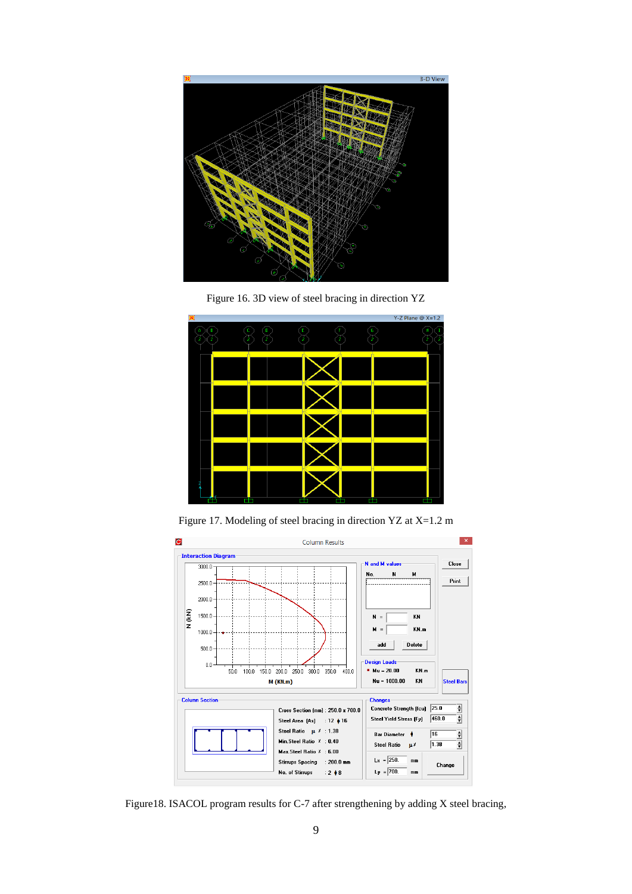





Figure 17. Modeling of steel bracing in direction YZ at X=1.2 m



Figure18. ISACOL program results for C-7 after strengthening by adding X steel bracing,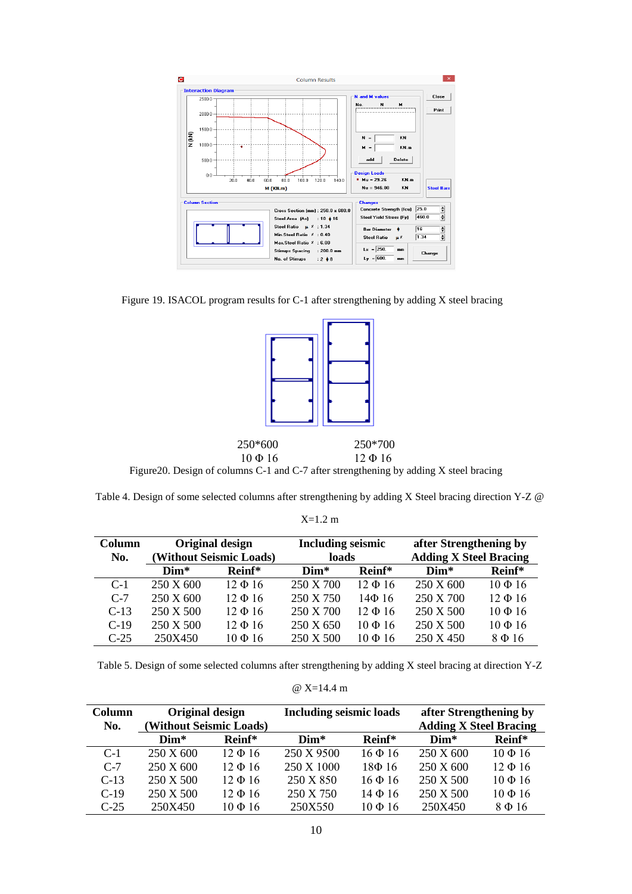

Figure 19. ISACOL program results for C-1 after strengthening by adding X steel bracing



Table 4. Design of some selected columns after strengthening by adding X Steel bracing direction Y-Z @

| Column | Original design         |              | <b>Including seismic</b> |              | after Strengthening by        |              |
|--------|-------------------------|--------------|--------------------------|--------------|-------------------------------|--------------|
| No.    | (Without Seismic Loads) |              | loads                    |              | <b>Adding X Steel Bracing</b> |              |
|        | $Dim*$                  | Reinf*       | $Dim*$                   | Reinf*       | $Dim*$                        | Reinf*       |
| $C-1$  | 250 X 600               | $12 \Phi 16$ | 250 X 700                | $12 \Phi 16$ | 250 X 600                     | $10 \Phi 16$ |
| $C-7$  | 250 X 600               | $12 \Phi 16$ | 250 X 750                | $14\Phi$ 16  | 250 X 700                     | $12 \Phi 16$ |
| $C-13$ | 250 X 500               | $12 \Phi 16$ | 250 X 700                | $12 \Phi 16$ | 250 X 500                     | $10 \Phi 16$ |
| $C-19$ | 250 X 500               | $12 \Phi 16$ | 250 X 650                | $10 \Phi 16$ | 250 X 500                     | $10 \Phi 16$ |
| $C-25$ | 250X450                 | $10 \Phi 16$ | 250 X 500                | $10 \Phi 16$ | 250 X 450                     | 8Ф16         |

Table 5. Design of some selected columns after strengthening by adding X steel bracing at direction Y-Z

|  | @ $X=14.4$ m |  |  |
|--|--------------|--|--|
|--|--------------|--|--|

| Column | <b>Original design</b>  |              | <b>Including seismic loads</b> |              | after Strengthening by        |              |
|--------|-------------------------|--------------|--------------------------------|--------------|-------------------------------|--------------|
| No.    | (Without Seismic Loads) |              |                                |              | <b>Adding X Steel Bracing</b> |              |
|        | $Dim*$                  | Reinf*       | $Dim*$                         | Reinf*       | $Dim*$                        | Reinf*       |
| $C-1$  | 250 X 600               | $12 \Phi 16$ | 250 X 9500                     | $16 \Phi 16$ | 250 X 600                     | $10 \Phi 16$ |
| $C-7$  | 250 X 600               | $12 \Phi 16$ | 250 X 1000                     | $18\Phi$ 16  | 250 X 600                     | $12 \Phi 16$ |
| $C-13$ | 250 X 500               | $12 \Phi 16$ | 250 X 850                      | $16 \Phi 16$ | 250 X 500                     | $10 \Phi 16$ |
| $C-19$ | 250 X 500               | $12 \Phi 16$ | 250 X 750                      | $14\Phi 16$  | 250 X 500                     | $10 \Phi 16$ |
| $C-25$ | 250X450                 | $10 \Phi 16$ | 250X550                        | $10 \Phi 16$ | 250X450                       | $8\Phi 16$   |